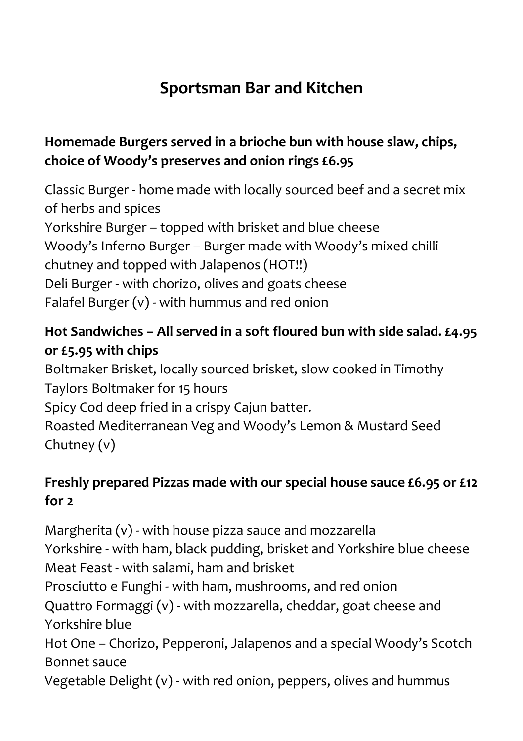# **Sportsman Bar and Kitchen**

### **Homemade Burgers served in a brioche bun with house slaw, chips, choice of Woody's preserves and onion rings £6.95**

Classic Burger - home made with locally sourced beef and a secret mix of herbs and spices Yorkshire Burger – topped with brisket and blue cheese Woody's Inferno Burger – Burger made with Woody's mixed chilli chutney and topped with Jalapenos (HOT!!) Deli Burger - with chorizo, olives and goats cheese Falafel Burger (v) - with hummus and red onion

## **Hot Sandwiches – All served in a soft floured bun with side salad. £4.95 or £5.95 with chips**

Boltmaker Brisket, locally sourced brisket, slow cooked in Timothy Taylors Boltmaker for 15 hours Spicy Cod deep fried in a crispy Cajun batter. Roasted Mediterranean Veg and Woody's Lemon & Mustard Seed Chutney (v)

#### **Freshly prepared Pizzas made with our special house sauce £6.95 or £12 for 2**

Margherita (v) - with house pizza sauce and mozzarella Yorkshire - with ham, black pudding, brisket and Yorkshire blue cheese Meat Feast - with salami, ham and brisket Prosciutto e Funghi - with ham, mushrooms, and red onion Quattro Formaggi (v) - with mozzarella, cheddar, goat cheese and Yorkshire blue Hot One – Chorizo, Pepperoni, Jalapenos and a special Woody's Scotch Bonnet sauce Vegetable Delight (v) - with red onion, peppers, olives and hummus